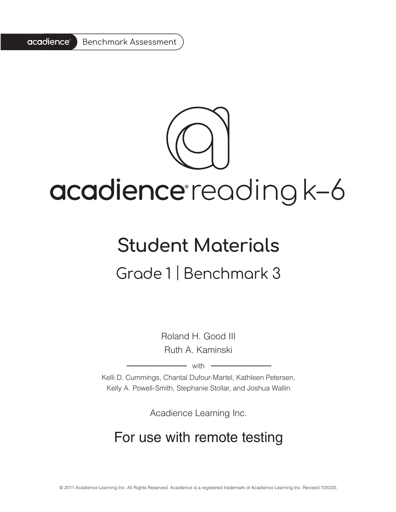

# acadience reading k-6

# **Student Materials** Grade 1 | Benchmark 3

Roland H. Good III Ruth A. Kaminski

 $-$  with  $-$ 

Kelli D. Cummings, Chantal Dufour-Martel, Kathleen Petersen, Kelly A. Powell-Smith, Stephanie Stollar, and Joshua Wallin

Acadience Learning Inc.

# For use with remote testing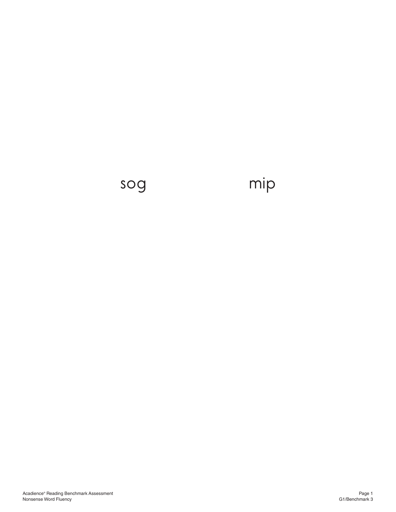# sog mip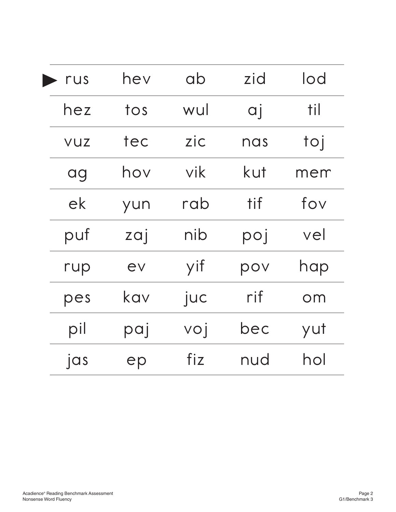| rus        | hev | ab  | zid            | lod        |
|------------|-----|-----|----------------|------------|
| hez        | tos | wul | $\overline{q}$ | <u>til</u> |
| <b>VUZ</b> | tec | zic | nas            | toj        |
| ag         | hov | vik | kut            | mem        |
| ek         | yun | rab | tif            | fov        |
| puf        | zaj | nib | poj            | vel        |
| rup        | ev  | yif | pov            | hap        |
| pes        | kav | juc | rif            | $\circ$ m  |
| pil        | paj | voj | bec            | yut        |
| jas        | ep  | fiz | nud            | hol        |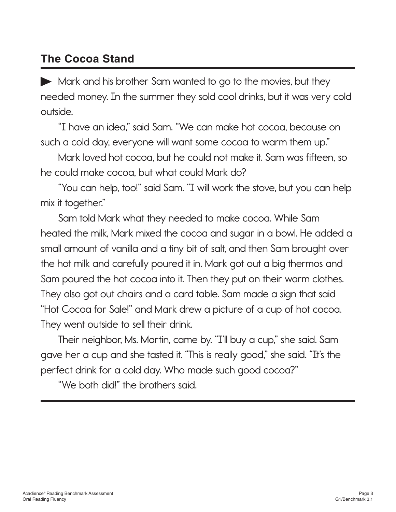### **The Cocoa Stand**

Mark and his brother Sam wanted to go to the movies, but they needed money. In the summer they sold cool drinks, but it was very cold outside.

"I have an idea," said Sam. "We can make hot cocoa, because on such a cold day, everyone will want some cocoa to warm them up."

Mark loved hot cocoa, but he could not make it. Sam was fifteen, so he could make cocoa, but what could Mark do?

"You can help, too!" said Sam. "I will work the stove, but you can help mix it together."

Sam told Mark what they needed to make cocoa. While Sam heated the milk, Mark mixed the cocoa and sugar in a bowl. He added a small amount of vanilla and a tiny bit of salt, and then Sam brought over the hot milk and carefully poured it in. Mark got out a big thermos and Sam poured the hot cocoa into it. Then they put on their warm clothes. They also got out chairs and a card table. Sam made a sign that said "Hot Cocoa for Sale!" and Mark drew a picture of a cup of hot cocoa. They went outside to sell their drink.

Their neighbor, Ms. Martin, came by. "I'll buy a cup," she said. Sam gave her a cup and she tasted it. "This is really good," she said. "It's the perfect drink for a cold day. Who made such good cocoa?"

"We both did!" the brothers said.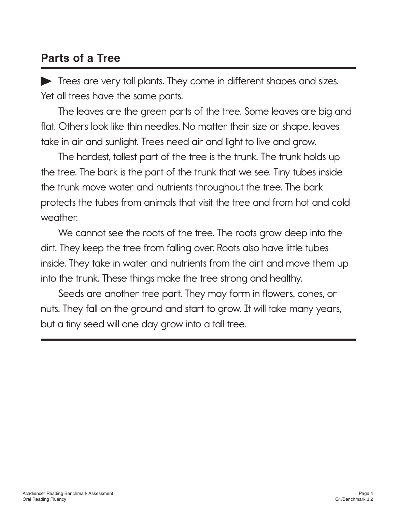#### **Parts of a Tree**

Trees are very tall plants. They come in different shapes and sizes. Yet all trees have the same parts.

The leaves are the green parts of the tree. Some leaves are big and flat. Others look like thin needles. No matter their size or shape, leaves take in air and sunlight. Trees need air and light to live and grow.

The hardest, tallest part of the tree is the trunk. The trunk holds up the tree. The bark is the part of the trunk that we see. Tiny tubes inside the trunk move water and nutrients throughout the tree. The bark protects the tubes from animals that visit the tree and from hot and cold weather.

We cannot see the roots of the tree. The roots grow deep into the dirt. They keep the tree from falling over. Roots also have little tubes inside. They take in water and nutrients from the dirt and move them up into the trunk. These things make the tree strong and healthy.

Seeds are another tree part. They may form in flowers, cones, or nuts. They fall on the ground and start to grow. It will take many years, but a tiny seed will one day grow into a tall tree.